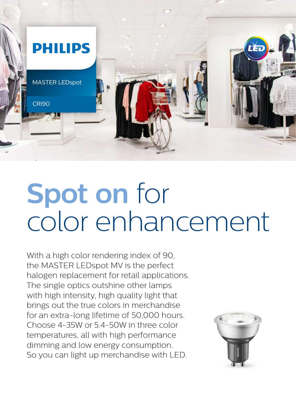

## **Spot on** for color enhancement

With a high color rendering index of 90, the MASTER LEDspot MV is the perfect halogen replacement for retail applications. The single optics outshine other lamps with high intensity, high quality light that brings out the true colors in merchandise for an extra-long lifetime of 50,000 hours. Choose 4-35W or 5.4-50W in three color temperatures, all with high performance dimming and low energy consumption. So you can light up merchandise with LED.